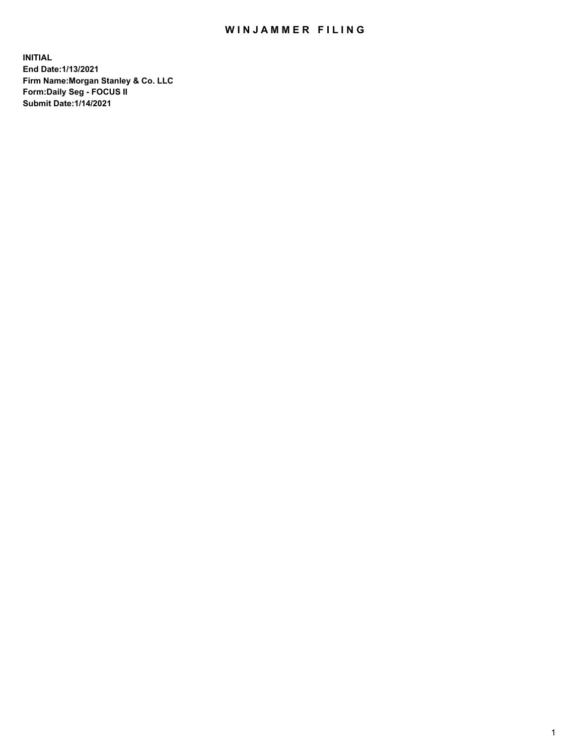## WIN JAMMER FILING

**INITIAL End Date:1/13/2021 Firm Name:Morgan Stanley & Co. LLC Form:Daily Seg - FOCUS II Submit Date:1/14/2021**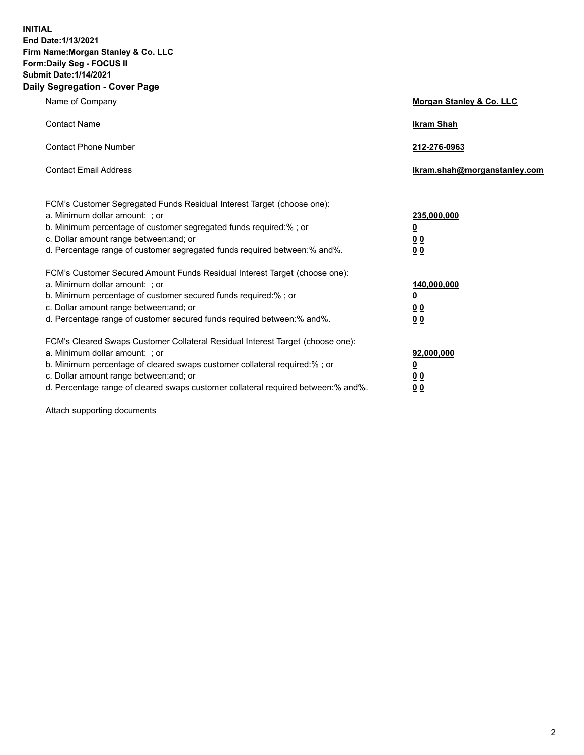**INITIAL End Date:1/13/2021 Firm Name:Morgan Stanley & Co. LLC Form:Daily Seg - FOCUS II Submit Date:1/14/2021 Daily Segregation - Cover Page**

| Name of Company                                                                                                                                                                                                                                                                                                                | <b>Morgan Stanley &amp; Co. LLC</b>                         |
|--------------------------------------------------------------------------------------------------------------------------------------------------------------------------------------------------------------------------------------------------------------------------------------------------------------------------------|-------------------------------------------------------------|
| <b>Contact Name</b>                                                                                                                                                                                                                                                                                                            | <b>Ikram Shah</b>                                           |
| <b>Contact Phone Number</b>                                                                                                                                                                                                                                                                                                    | 212-276-0963                                                |
| <b>Contact Email Address</b>                                                                                                                                                                                                                                                                                                   | Ikram.shah@morganstanley.com                                |
| FCM's Customer Segregated Funds Residual Interest Target (choose one):<br>a. Minimum dollar amount: ; or<br>b. Minimum percentage of customer segregated funds required:%; or<br>c. Dollar amount range between: and; or<br>d. Percentage range of customer segregated funds required between:% and%.                          | 235,000,000<br><u>0</u><br>0 <sub>0</sub><br>0 <sub>0</sub> |
| FCM's Customer Secured Amount Funds Residual Interest Target (choose one):<br>a. Minimum dollar amount: ; or<br>b. Minimum percentage of customer secured funds required:%; or<br>c. Dollar amount range between: and; or<br>d. Percentage range of customer secured funds required between:% and%.                            | 140,000,000<br><u>0</u><br>0 <sub>0</sub><br>0 <sub>0</sub> |
| FCM's Cleared Swaps Customer Collateral Residual Interest Target (choose one):<br>a. Minimum dollar amount: ; or<br>b. Minimum percentage of cleared swaps customer collateral required:% ; or<br>c. Dollar amount range between: and; or<br>d. Percentage range of cleared swaps customer collateral required between:% and%. | 92,000,000<br><u>0</u><br><u>00</u><br>00                   |

Attach supporting documents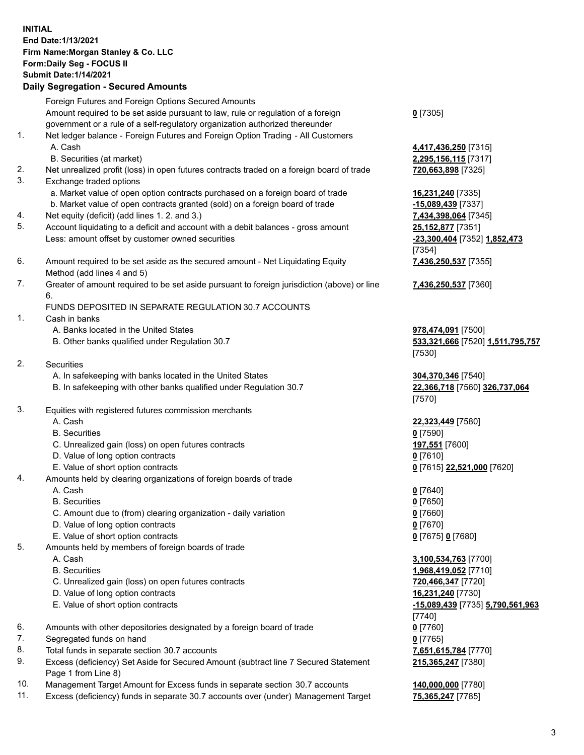## **INITIAL End Date:1/13/2021 Firm Name:Morgan Stanley & Co. LLC Form:Daily Seg - FOCUS II Submit Date:1/14/2021**

**Daily Segregation - Secured Amounts** Foreign Futures and Foreign Options Secured Amounts Amount required to be set aside pursuant to law, rule or regulation of a foreign government or a rule of a self-regulatory organization authorized thereunder 1. Net ledger balance - Foreign Futures and Foreign Option Trading - All Customers A. Cash **4,417,436,250** [7315] B. Securities (at market) **2,295,156,115** [7317] 2. Net unrealized profit (loss) in open futures contracts traded on a foreign board of trade **720,663,898** [7325] 3. Exchange traded options a. Market value of open option contracts purchased on a foreign board of trade **16,231,240** [7335] b. Market value of open contracts granted (sold) on a foreign board of trade **-15,089,439** [7337] 4. Net equity (deficit) (add lines 1. 2. and 3.) **7,434,398,064** [7345] 5. Account liquidating to a deficit and account with a debit balances - gross amount **25,152,877** [7351] Less: amount offset by customer owned securities **-23,300,404** [7352] **1,852,473** 6. Amount required to be set aside as the secured amount - Net Liquidating Equity Method (add lines 4 and 5) 7. Greater of amount required to be set aside pursuant to foreign jurisdiction (above) or line 6. FUNDS DEPOSITED IN SEPARATE REGULATION 30.7 ACCOUNTS 1. Cash in banks A. Banks located in the United States **978,474,091** [7500] B. Other banks qualified under Regulation 30.7 **533,321,666** [7520] **1,511,795,757** 2. Securities A. In safekeeping with banks located in the United States **304,370,346** [7540] B. In safekeeping with other banks qualified under Regulation 30.7 **22,366,718** [7560] **326,737,064** 3. Equities with registered futures commission merchants A. Cash **22,323,449** [7580] B. Securities **0** [7590] C. Unrealized gain (loss) on open futures contracts **197,551** [7600] D. Value of long option contracts **0** [7610] E. Value of short option contracts **0** [7615] **22,521,000** [7620] 4. Amounts held by clearing organizations of foreign boards of trade A. Cash **0** [7640] B. Securities **0** [7650] C. Amount due to (from) clearing organization - daily variation **0** [7660] D. Value of long option contracts **0** [7670] E. Value of short option contracts **0** [7675] **0** [7680] 5. Amounts held by members of foreign boards of trade A. Cash **3,100,534,763** [7700] B. Securities **1,968,419,052** [7710]

- C. Unrealized gain (loss) on open futures contracts **720,466,347** [7720]
- D. Value of long option contracts **16,231,240** [7730]
- E. Value of short option contracts **-15,089,439** [7735] **5,790,561,963**
- 6. Amounts with other depositories designated by a foreign board of trade **0** [7760]
- 7. Segregated funds on hand **0** [7765]
- 8. Total funds in separate section 30.7 accounts **7,651,615,784** [7770]
- 9. Excess (deficiency) Set Aside for Secured Amount (subtract line 7 Secured Statement Page 1 from Line 8)
- 10. Management Target Amount for Excess funds in separate section 30.7 accounts **140,000,000** [7780]
- 11. Excess (deficiency) funds in separate 30.7 accounts over (under) Management Target **75,365,247** [7785]

**0** [7305]

[7354] **7,436,250,537** [7355]

**7,436,250,537** [7360]

[7530]

[7570]

[7740] **215,365,247** [7380]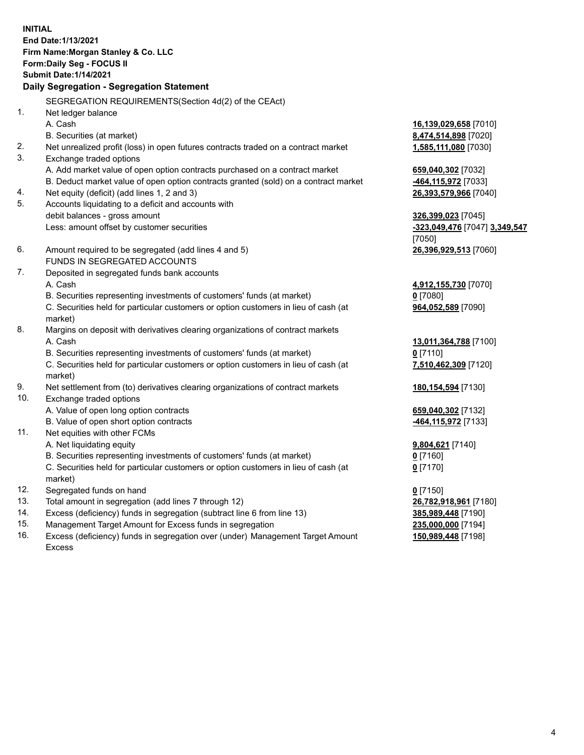**INITIAL End Date:1/13/2021 Firm Name:Morgan Stanley & Co. LLC Form:Daily Seg - FOCUS II Submit Date:1/14/2021 Daily Segregation - Segregation Statement** SEGREGATION REQUIREMENTS(Section 4d(2) of the CEAct) 1. Net ledger balance A. Cash **16,139,029,658** [7010] B. Securities (at market) **8,474,514,898** [7020] 2. Net unrealized profit (loss) in open futures contracts traded on a contract market **1,585,111,080** [7030] 3. Exchange traded options A. Add market value of open option contracts purchased on a contract market **659,040,302** [7032] B. Deduct market value of open option contracts granted (sold) on a contract market **-464,115,972** [7033] 4. Net equity (deficit) (add lines 1, 2 and 3) **26,393,579,966** [7040] 5. Accounts liquidating to a deficit and accounts with debit balances - gross amount **326,399,023** [7045] Less: amount offset by customer securities **-323,049,476** [7047] **3,349,547** [7050] 6. Amount required to be segregated (add lines 4 and 5) **26,396,929,513** [7060] FUNDS IN SEGREGATED ACCOUNTS 7. Deposited in segregated funds bank accounts A. Cash **4,912,155,730** [7070] B. Securities representing investments of customers' funds (at market) **0** [7080] C. Securities held for particular customers or option customers in lieu of cash (at market) **964,052,589** [7090] 8. Margins on deposit with derivatives clearing organizations of contract markets A. Cash **13,011,364,788** [7100] B. Securities representing investments of customers' funds (at market) **0** [7110] C. Securities held for particular customers or option customers in lieu of cash (at market) **7,510,462,309** [7120] 9. Net settlement from (to) derivatives clearing organizations of contract markets **180,154,594** [7130] 10. Exchange traded options A. Value of open long option contracts **659,040,302** [7132] B. Value of open short option contracts **-464,115,972** [7133] 11. Net equities with other FCMs A. Net liquidating equity **9,804,621** [7140] B. Securities representing investments of customers' funds (at market) **0** [7160] C. Securities held for particular customers or option customers in lieu of cash (at market) **0** [7170] 12. Segregated funds on hand **0** [7150] 13. Total amount in segregation (add lines 7 through 12) **26,782,918,961** [7180] 14. Excess (deficiency) funds in segregation (subtract line 6 from line 13) **385,989,448** [7190]

- 15. Management Target Amount for Excess funds in segregation **235,000,000** [7194]
- 16. Excess (deficiency) funds in segregation over (under) Management Target Amount Excess

**150,989,448** [7198]